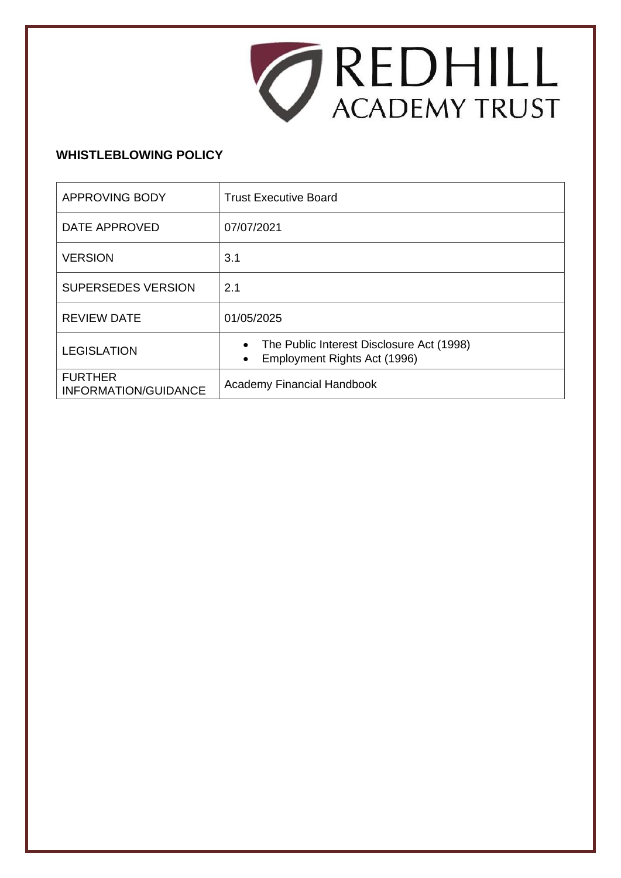

# **WHISTLEBLOWING POLICY**

| <b>APPROVING BODY</b>                         | <b>Trust Executive Board</b>                                                                        |
|-----------------------------------------------|-----------------------------------------------------------------------------------------------------|
| DATE APPROVED                                 | 07/07/2021                                                                                          |
| <b>VERSION</b>                                | 3.1                                                                                                 |
| <b>SUPERSEDES VERSION</b>                     | 2.1                                                                                                 |
| <b>REVIEW DATE</b>                            | 01/05/2025                                                                                          |
| <b>LEGISLATION</b>                            | The Public Interest Disclosure Act (1998)<br>$\bullet$<br>Employment Rights Act (1996)<br>$\bullet$ |
| <b>FURTHER</b><br><b>INFORMATION/GUIDANCE</b> | <b>Academy Financial Handbook</b>                                                                   |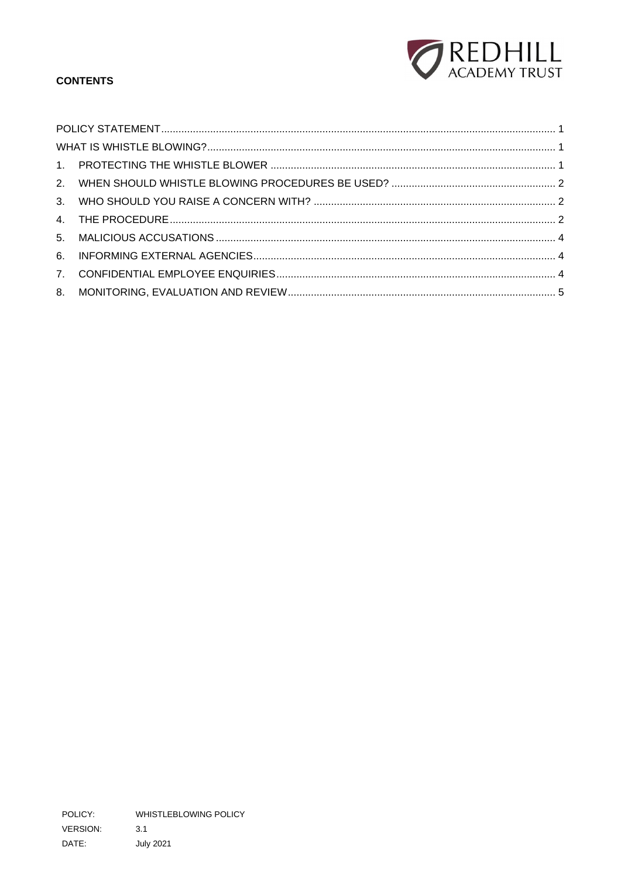

# **CONTENTS**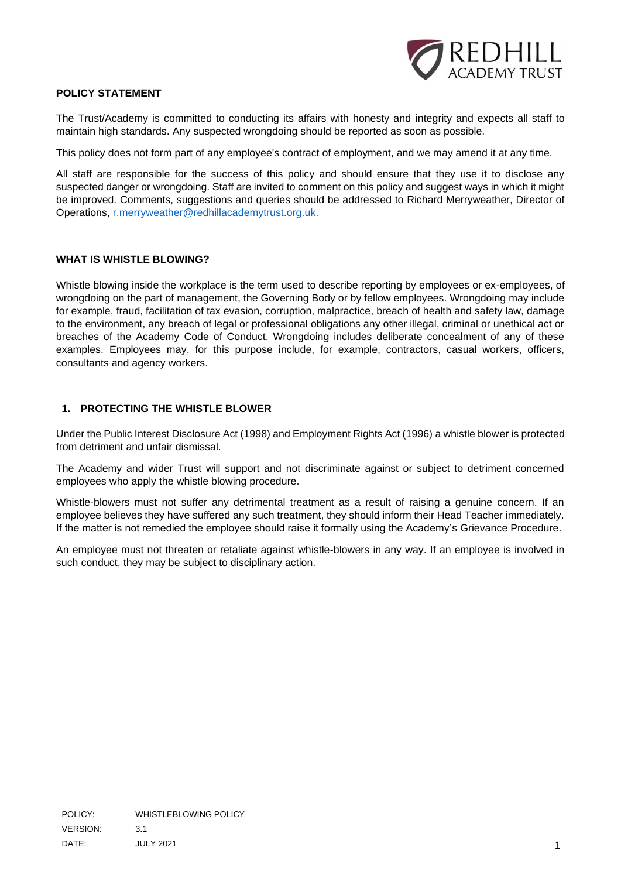

## <span id="page-2-0"></span>**POLICY STATEMENT**

The Trust/Academy is committed to conducting its affairs with honesty and integrity and expects all staff to maintain high standards. Any suspected wrongdoing should be reported as soon as possible.

This policy does not form part of any employee's contract of employment, and we may amend it at any time.

All staff are responsible for the success of this policy and should ensure that they use it to disclose any suspected danger or wrongdoing. Staff are invited to comment on this policy and suggest ways in which it might be improved. Comments, suggestions and queries should be addressed to Richard Merryweather, Director of Operations, [r.merryweather@redhillacademytrust.org.uk.](mailto:%20r.merryweather@redhillacademytrust.org.uk)

#### <span id="page-2-1"></span>**WHAT IS WHISTLE BLOWING?**

Whistle blowing inside the workplace is the term used to describe reporting by employees or ex-employees, of wrongdoing on the part of management, the Governing Body or by fellow employees. Wrongdoing may include for example, fraud, facilitation of tax evasion, corruption, malpractice, breach of health and safety law, damage to the environment, any breach of legal or professional obligations any other illegal, criminal or unethical act or breaches of the Academy Code of Conduct. Wrongdoing includes deliberate concealment of any of these examples. Employees may, for this purpose include, for example, contractors, casual workers, officers, consultants and agency workers.

#### <span id="page-2-2"></span>**1. PROTECTING THE WHISTLE BLOWER**

Under the Public Interest Disclosure Act (1998) and Employment Rights Act (1996) a whistle blower is protected from detriment and unfair dismissal.

The Academy and wider Trust will support and not discriminate against or subject to detriment concerned employees who apply the whistle blowing procedure.

Whistle-blowers must not suffer any detrimental treatment as a result of raising a genuine concern. If an employee believes they have suffered any such treatment, they should inform their Head Teacher immediately. If the matter is not remedied the employee should raise it formally using the Academy's Grievance Procedure.

An employee must not threaten or retaliate against whistle-blowers in any way. If an employee is involved in such conduct, they may be subject to disciplinary action.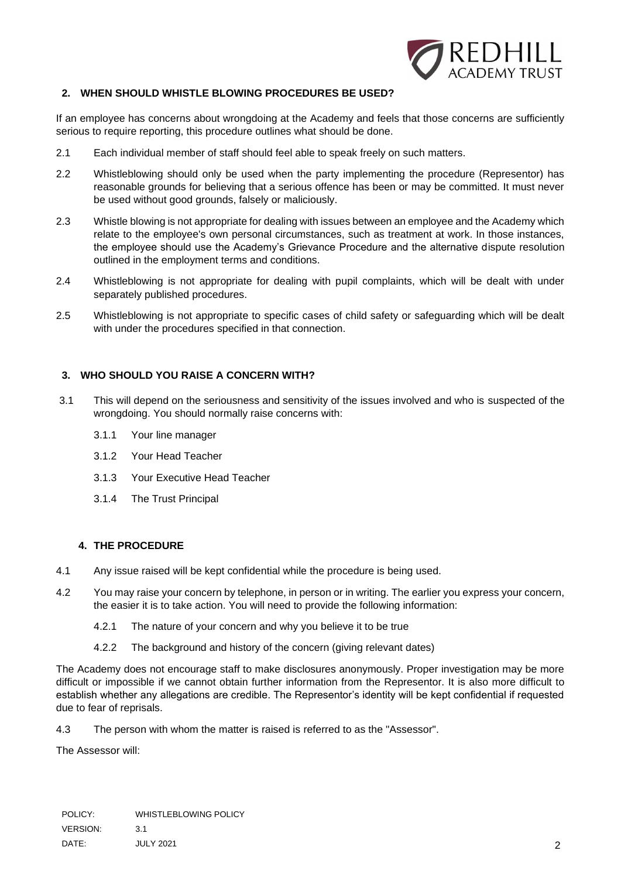

## <span id="page-3-0"></span>**2. WHEN SHOULD WHISTLE BLOWING PROCEDURES BE USED?**

If an employee has concerns about wrongdoing at the Academy and feels that those concerns are sufficiently serious to require reporting, this procedure outlines what should be done.

- 2.1 Each individual member of staff should feel able to speak freely on such matters.
- 2.2 Whistleblowing should only be used when the party implementing the procedure (Representor) has reasonable grounds for believing that a serious offence has been or may be committed. It must never be used without good grounds, falsely or maliciously.
- 2.3 Whistle blowing is not appropriate for dealing with issues between an employee and the Academy which relate to the employee's own personal circumstances, such as treatment at work. In those instances, the employee should use the Academy's Grievance Procedure and the alternative dispute resolution outlined in the employment terms and conditions.
- 2.4 Whistleblowing is not appropriate for dealing with pupil complaints, which will be dealt with under separately published procedures.
- 2.5 Whistleblowing is not appropriate to specific cases of child safety or safeguarding which will be dealt with under the procedures specified in that connection.

#### <span id="page-3-1"></span>**3. WHO SHOULD YOU RAISE A CONCERN WITH?**

- 3.1 This will depend on the seriousness and sensitivity of the issues involved and who is suspected of the wrongdoing. You should normally raise concerns with:
	- 3.1.1 Your line manager
	- 3.1.2 Your Head Teacher
	- 3.1.3 Your Executive Head Teacher
	- 3.1.4 The Trust Principal

## <span id="page-3-2"></span>**4. THE PROCEDURE**

- 4.1 Any issue raised will be kept confidential while the procedure is being used.
- 4.2 You may raise your concern by telephone, in person or in writing. The earlier you express your concern, the easier it is to take action. You will need to provide the following information:
	- 4.2.1 The nature of your concern and why you believe it to be true
	- 4.2.2 The background and history of the concern (giving relevant dates)

The Academy does not encourage staff to make disclosures anonymously. Proper investigation may be more difficult or impossible if we cannot obtain further information from the Representor. It is also more difficult to establish whether any allegations are credible. The Representor's identity will be kept confidential if requested due to fear of reprisals.

4.3 The person with whom the matter is raised is referred to as the "Assessor".

The Assessor will: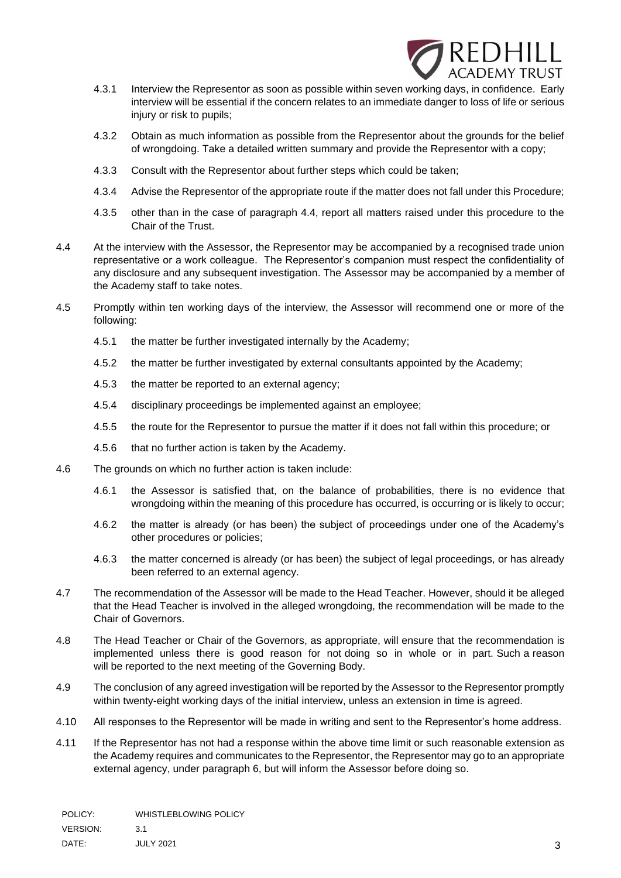

- 4.3.1 Interview the Representor as soon as possible within seven working days, in confidence. Early interview will be essential if the concern relates to an immediate danger to loss of life or serious injury or risk to pupils;
- 4.3.2 Obtain as much information as possible from the Representor about the grounds for the belief of wrongdoing. Take a detailed written summary and provide the Representor with a copy;
- 4.3.3 Consult with the Representor about further steps which could be taken;
- 4.3.4 Advise the Representor of the appropriate route if the matter does not fall under this Procedure;
- 4.3.5 other than in the case of paragraph 4.4, report all matters raised under this procedure to the Chair of the Trust.
- 4.4 At the interview with the Assessor, the Representor may be accompanied by a recognised trade union representative or a work colleague. The Representor's companion must respect the confidentiality of any disclosure and any subsequent investigation. The Assessor may be accompanied by a member of the Academy staff to take notes.
- 4.5 Promptly within ten working days of the interview, the Assessor will recommend one or more of the following:
	- 4.5.1 the matter be further investigated internally by the Academy;
	- 4.5.2 the matter be further investigated by external consultants appointed by the Academy;
	- 4.5.3 the matter be reported to an external agency;
	- 4.5.4 disciplinary proceedings be implemented against an employee;
	- 4.5.5 the route for the Representor to pursue the matter if it does not fall within this procedure; or
	- 4.5.6 that no further action is taken by the Academy.
- 4.6 The grounds on which no further action is taken include:
	- 4.6.1 the Assessor is satisfied that, on the balance of probabilities, there is no evidence that wrongdoing within the meaning of this procedure has occurred, is occurring or is likely to occur;
	- 4.6.2 the matter is already (or has been) the subject of proceedings under one of the Academy's other procedures or policies;
	- 4.6.3 the matter concerned is already (or has been) the subject of legal proceedings, or has already been referred to an external agency.
- 4.7 The recommendation of the Assessor will be made to the Head Teacher. However, should it be alleged that the Head Teacher is involved in the alleged wrongdoing, the recommendation will be made to the Chair of Governors.
- 4.8 The Head Teacher or Chair of the Governors, as appropriate, will ensure that the recommendation is implemented unless there is good reason for not doing so in whole or in part. Such a reason will be reported to the next meeting of the Governing Body.
- 4.9 The conclusion of any agreed investigation will be reported by the Assessor to the Representor promptly within twenty-eight working days of the initial interview, unless an extension in time is agreed.
- 4.10 All responses to the Representor will be made in writing and sent to the Representor's home address.
- 4.11 If the Representor has not had a response within the above time limit or such reasonable extension as the Academy requires and communicates to the Representor, the Representor may go to an appropriate external agency, under paragraph 6, but will inform the Assessor before doing so.

POLICY: WHISTLEBLOWING POLICY VERSION: 3.1 DATE: JULY 2021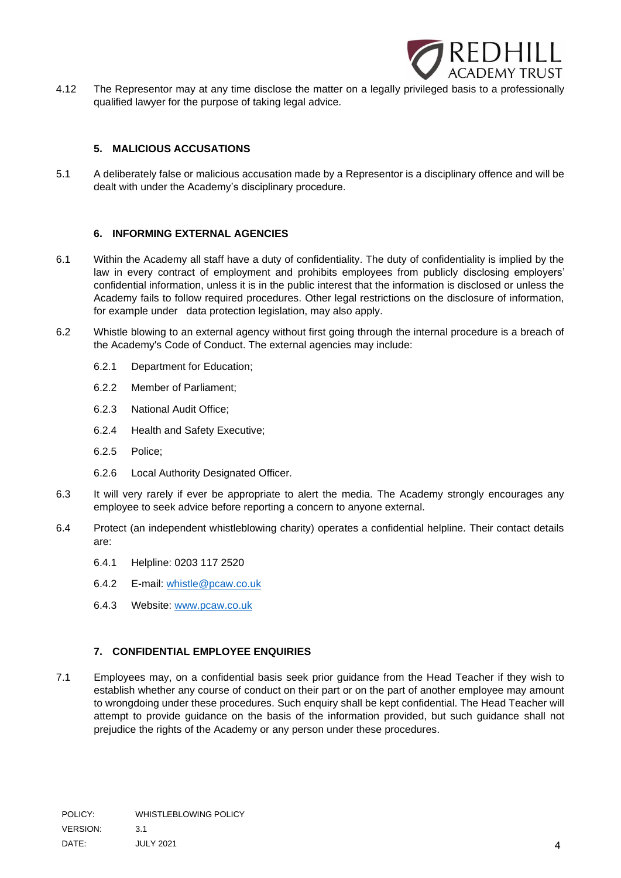

4.12 The Representor may at any time disclose the matter on a legally privileged basis to a professionally qualified lawyer for the purpose of taking legal advice.

## **5. MALICIOUS ACCUSATIONS**

<span id="page-5-0"></span>5.1 A deliberately false or malicious accusation made by a Representor is a disciplinary offence and will be dealt with under the Academy's disciplinary procedure.

## **6. INFORMING EXTERNAL AGENCIES**

- <span id="page-5-1"></span>6.1 Within the Academy all staff have a duty of confidentiality. The duty of confidentiality is implied by the law in every contract of employment and prohibits employees from publicly disclosing employers' confidential information, unless it is in the public interest that the information is disclosed or unless the Academy fails to follow required procedures. Other legal restrictions on the disclosure of information, for example under data protection legislation, may also apply.
- 6.2 Whistle blowing to an external agency without first going through the internal procedure is a breach of the Academy's Code of Conduct. The external agencies may include:
	- 6.2.1 Department for Education;
	- 6.2.2 Member of Parliament;
	- 6.2.3 National Audit Office;
	- 6.2.4 Health and Safety Executive;
	- 6.2.5 Police;
	- 6.2.6 Local Authority Designated Officer.
- 6.3 It will very rarely if ever be appropriate to alert the media. The Academy strongly encourages any employee to seek advice before reporting a concern to anyone external.
- 6.4 Protect (an independent whistleblowing charity) operates a confidential helpline. Their contact details are:
	- 6.4.1 Helpline: 0203 117 2520
	- 6.4.2 E-mail: [whistle@pcaw.co.uk](mailto:whistle@pcaw.co.uk)
	- 6.4.3 Website: [www.pcaw.co.uk](http://www.pcaw.co.uk/)

## **7. CONFIDENTIAL EMPLOYEE ENQUIRIES**

<span id="page-5-2"></span>7.1 Employees may, on a confidential basis seek prior guidance from the Head Teacher if they wish to establish whether any course of conduct on their part or on the part of another employee may amount to wrongdoing under these procedures. Such enquiry shall be kept confidential. The Head Teacher will attempt to provide guidance on the basis of the information provided, but such guidance shall not prejudice the rights of the Academy or any person under these procedures.